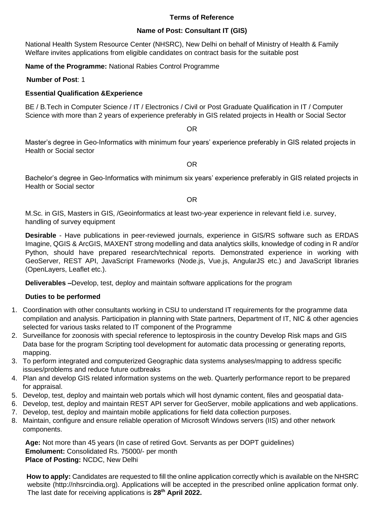### **Terms of Reference**

### **Name of Post: Consultant IT (GIS)**

National Health System Resource Center (NHSRC), New Delhi on behalf of Ministry of Health & Family Welfare invites applications from eligible candidates on contract basis for the suitable post

**Name of the Programme:** National Rabies Control Programme

 **Number of Post**: 1

## **Essential Qualification &Experience**

BE / B.Tech in Computer Science / IT / Electronics / Civil or Post Graduate Qualification in IT / Computer Science with more than 2 years of experience preferably in GIS related projects in Health or Social Sector

OR

Master's degree in Geo-Informatics with minimum four years' experience preferably in GIS related projects in Health or Social sector

OR

Bachelor's degree in Geo-Informatics with minimum six years' experience preferably in GIS related projects in Health or Social sector

OR

M.Sc. in GIS, Masters in GIS, /Geoinformatics at least two-year experience in relevant field i.e. survey, handling of survey equipment

**Desirable** - Have publications in peer-reviewed journals, experience in GIS/RS software such as ERDAS Imagine, QGIS & ArcGIS, MAXENT strong modelling and data analytics skills, knowledge of coding in R and/or Python, should have prepared research/technical reports. Demonstrated experience in working with GeoServer, REST API, JavaScript Frameworks (Node.js, Vue.js, AngularJS etc.) and JavaScript libraries (OpenLayers, Leaflet etc.).

**Deliverables –**Develop, test, deploy and maintain software applications for the program

#### **Duties to be performed**

- 1. Coordination with other consultants working in CSU to understand IT requirements for the programme data compilation and analysis. Participation in planning with State partners, Department of IT, NIC & other agencies selected for various tasks related to IT component of the Programme
- 2. Surveillance for zoonosis with special reference to leptospirosis in the country Develop Risk maps and GIS Data base for the program Scripting tool development for automatic data processing or generating reports, mapping.
- 3. To perform integrated and computerized Geographic data systems analyses/mapping to address specific issues/problems and reduce future outbreaks
- 4. Plan and develop GIS related information systems on the web. Quarterly performance report to be prepared for appraisal.
- 5. Develop, test, deploy and maintain web portals which will host dynamic content, files and geospatial data-
- 6. Develop, test, deploy and maintain REST API server for GeoServer, mobile applications and web applications.
- 7. Develop, test, deploy and maintain mobile applications for field data collection purposes.
- 8. Maintain, configure and ensure reliable operation of Microsoft Windows servers (IIS) and other network components.

**Age:** Not more than 45 years (In case of retired Govt. Servants as per DOPT guidelines) **Emolument:** Consolidated Rs. 75000/- per month **Place of Posting:** NCDC, New Delhi

**How to apply:** Candidates are requested to fill the online application correctly which is available on the NHSRC website (http://nhsrcindia.org). Applications will be accepted in the prescribed online application format only. The last date for receiving applications is **28 th April 2022.**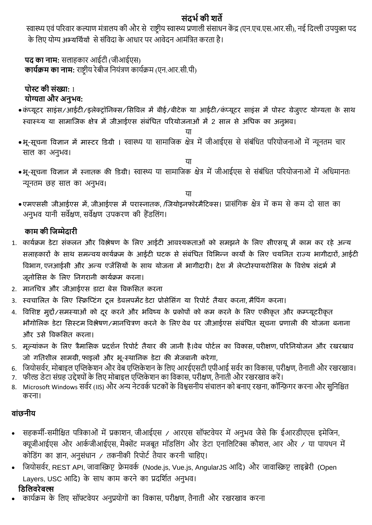# **संदर्भकी शर्ते**

स्वास्थ्य एवं परिवार कल्याण मंत्रालय की और से राष्ट्रीय स्वास्थ्य प्रणाली संसाधन केंद्र (एन.एच.एस.आर.सी), नई दिल्ली उपयुक्त पद के लिए योग्य अभ्यर्थियों से संविदा के आधार पर आवेदन आमंत्रित करता है।

**पद का नाम:** सलाहकाि आईटी (जीआईएस) **कार्भक्रम का नाम:** िाष्ट्रीय िेबीज दनयंत्रण काययक्रम (एन.आि.सी.पी)

**पोस्ट की संख्या:** 1 **र्ोग्यर्ता और अनुर्व:**

- •कं प्यूटर साइंस/आईटी/इलेक्ट्रॉर्िक्ट्स/र्सविल में बीई/बीटेक या आईटी/कं प्यूटर साइंस में पोस्ट ग्रेजुएट योग्यता के साथ स्वास्थ्य या सामाजिक क्षेत्र में जीआईएस संबंधित परियोजनाओं में 2 साल से अधिक का अनुभव।
	- या
- भू-सूचना विज्ञान में मास्टर डिग्री । स्वास्थ्य या सामाजिक क्षेत्र में जीआईएस से संबंधित परियोजनाओं में न्यूनतम चार साल का अनुभव।
- भू-सूचना विज्ञान में स्नातक की डिग्री। स्वास्थ्य या सामाजिक क्षेत्र में जीआईएस से संबंधित परियोजनाओं में अधिमानतः न्यूनतम छह साल का अनुभव।

या

या

• एमएससी जीआईएस में, जीआईएस में परास्नातक, /जियोइनफॉरमैटिक्स। प्रासंगिक क्षेत्र में कम से कम दो साल का अनुभव यानी सर्वेक्षण, सर्वेक्षण उपकरण की हैंडलिंग।

# **काम की जिम्मेदारी**

- 1. कार्यक्रम डेटा संकलन और विश्लेषण के लिए आईटी आवश्यकताओं को समझने के लिए सीएसयू में काम कर रहे अन्य सलाहकारों के साथ समन्वय कार्यक्रम के आईटी घटक से संबंधित विभिन्न कार्यों के लिए चयनित राज्य भागीदारों, आईटी विभाग, एनआईसी और अन्य एजेंसियों के साथ योजना में भागीदारी। देश में लेप्टोस्पायरोसिस के विशेष संदर्भ में जूनोसिस के लिए निगरानी कार्यक्रम करना।
- 2. मानचित्र और जीआईएस डाटा बेस विकसित करना
- 3. स्वचालित के लिए स्क्रिप्टिंग टूल डेवलपमेंट डेटा प्रोसेसिंग या रिपोर्ट तैयार करना, मैपिंग करना।
- 4. विशिष्ट मुद्दों/समस्याओं को दुर करने और भविष्य के प्रकोपों को कम करने के लिए एकीकृत और कम्प्यूटरीकृत भौगोलिक डेटा सिस्टम विश्लेषण/मानचित्रण करने के लिए वेब पर जीआईएस संबंधित सूचना प्रणाली की योजना बनाना और उसे विकसित करना।
- 5. मूल्यांकन के लिए त्रैमासिक प्रदर्शन रिपोर्ट तैयार की जानी है।वेब पोर्टल का विकास, परीक्षण, परिनियोजन और रखरखाव जो गतिशील सामग्री, फाइलों और भू-स्थानिक डेटा की मेजबानी करेगा,
- 6. जियोसर्वर, मोबाइल एप्लिकेशन और वेब एप्लिकेशन के लिए आरईएसटी एपीआई सर्वर का विकास, परीक्षण, तैनाती और रखरखाव।
- 7. फील्ड डेटा संग्रह उद्देश्यों के लिए मोबाइल एप्लिकेशन का विकास, परीक्षण, तैनाती और रखरखाव करें।
- 8. Microsoft Windows सर्वर (IIS) और अन्य नेटवर्क घटकों के विश्वसनीय संचालन को बनाए रखना, कॉन्फ़िगर करना और सुनिश्चित किना।

# **वांछनीर्**

- सहकर्मी-समीक्षित पत्रिकाओं में प्रकाशन, जीआईएस / आरएस सॉफ्टवेयर में अनुभव जैसे कि ईआरडीएएस इमेजिन, क्यूजीआईएस और आर्कजीआईएस, मैक्सेंट मजबूत मॉडलिंग और डेटा एनालिटिक्स कौशल, आर और / या पायथन में कोडिंग का ज्ञान, अनुसंधान / तकनीकी रिपोर्ट तैयार करनी चाहिए।
- दजयोसवयि, REST API, जावाप्लिप्ट फ्रे मवकय (Node.js, Vue.js, AngularJS आदि) औि जावाप्लिप्ट लाइब्रेिी (Open Layers, USC आदि) के साथ काम करने का प्रदर्शित अनुभव। **जिजिवरेबल्स**
- कार्यक्रम के लिए सॉफ्टवेयर अनुप्रयोगों का विकास, परीक्षण, तैनाती और रखरखाव करना